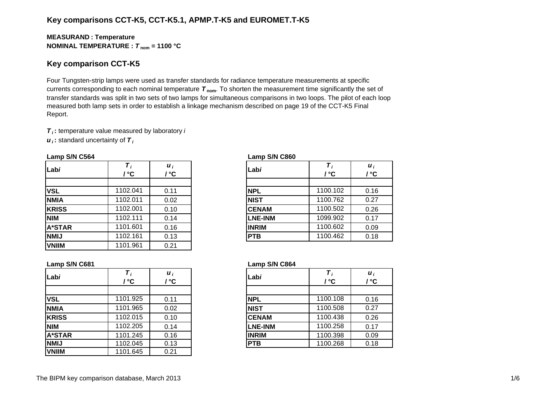# **Key comparisons CCT-K5, CCT-K5.1, APMP.T-K5 and EUROMET.T-K5**

## **MEASURAN D : Temperature NOMINAL TEMPERATURE :**  *T* **nom = 1100 °C**

## **Key comparison CCT-K5**

Four Tungsten-strip lamps were used as transfer standards for radiance temperature measurements at specific currents corresponding to each nominal temperature *T* **nom**. To shorten the measurement time significantly the set of transfer standards was split in two sets of two lamps for simultaneous comparisons in two loops. The pilot of each loop measured both lamp sets in order to establish a linkage mechanism described on page 19 of the CCT-K5 Final Report.

*T i* **:** temperature value measured by laboratory *i*

*u i* **:** standard uncertainty of *T i*

#### **Lamp S/N C564 Lamp S/N C860**

| Labi          | ுС       | $\boldsymbol{u}_i$<br>/ °C | Labi           | / °C     | $\boldsymbol{u}_i$<br>l °C |  |
|---------------|----------|----------------------------|----------------|----------|----------------------------|--|
|               |          |                            |                |          |                            |  |
| <b>VSL</b>    | 1102.041 | 0.11                       | <b>NPL</b>     | 1100.102 | 0.16                       |  |
| <b>NMIA</b>   | 1102.011 | 0.02                       | <b>NIST</b>    | 1100.762 | 0.27                       |  |
| <b>KRISS</b>  | 1102.001 | 0.10                       | <b>CENAM</b>   | 1100.502 | 0.26                       |  |
| <b>NIM</b>    | 1102.111 | 0.14                       | <b>LNE-INM</b> | 1099.902 | 0.17                       |  |
| <b>A*STAR</b> | 1101.601 | 0.16                       | <b>INRIM</b>   | 1100.602 | 0.09                       |  |
| <b>NMIJ</b>   | 1102.161 | 0.13                       | <b>PTB</b>     | 1100.462 | 0.18                       |  |
| <b>VNIIM</b>  | 1101.961 | 0.21                       |                |          |                            |  |

| i<br>C          | Labi           | / °C     | $\boldsymbol{u}_i$<br>/ °C |
|-----------------|----------------|----------|----------------------------|
| 11              | <b>NPL</b>     | 1100.102 | 0.16                       |
| $\overline{2}$  | <b>NIST</b>    | 1100.762 | 0.27                       |
| $\overline{10}$ | <b>CENAM</b>   | 1100.502 | 0.26                       |
| $\overline{14}$ | <b>LNE-INM</b> | 1099.902 | 0.17                       |
| 16              | <b>INRIM</b>   | 1100.602 | 0.09                       |
| $\overline{13}$ | <b>PTB</b>     | 1100.462 | 0.18                       |

| Labi          | ' ℃      | $\boldsymbol{u}_i$<br>/ °C | Labi           | / °C     | $\boldsymbol{u}_i$<br>/ °C |
|---------------|----------|----------------------------|----------------|----------|----------------------------|
|               |          |                            |                |          |                            |
| <b>VSL</b>    | 1101.925 | 0.11                       | <b>NPL</b>     | 1100.108 | 0.16                       |
| <b>NMIA</b>   | 1101.965 | 0.02                       | <b>NIST</b>    | 1100.508 | 0.27                       |
| <b>KRISS</b>  | 1102.015 | 0.10                       | <b>CENAM</b>   | 1100.438 | 0.26                       |
| <b>NIM</b>    | 1102.205 | 0.14                       | <b>LNE-INM</b> | 1100.258 | 0.17                       |
| <b>A*STAR</b> | 1101.245 | 0.16                       | <b>INRIM</b>   | 1100.398 | 0.09                       |
| <b>NMIJ</b>   | 1102.045 | 0.13                       | <b>PTB</b>     | 1100.268 | 0.18                       |
| <b>VNIIM</b>  | 1101.645 | 0.21                       |                |          |                            |

#### **Lamp S/N C681 Lamp S/N C864**

|            | / °C     | $\boldsymbol{u}_i$<br>' ℃ | Labi           | / °C     | $\boldsymbol{u}_i$<br>/ °C |
|------------|----------|---------------------------|----------------|----------|----------------------------|
|            |          |                           |                |          |                            |
|            | 1101.925 | 0.11                      | <b>NPL</b>     | 1100.108 | 0.16                       |
| А          | 1101.965 | 0.02                      | <b>NIST</b>    | 1100.508 | 0.27                       |
| SS         | 1102.015 | 0.10                      | <b>CENAM</b>   | 1100.438 | 0.26                       |
|            | 1102.205 | 0.14                      | <b>LNE-INM</b> | 1100.258 | 0.17                       |
| <b>TAR</b> | 1101.245 | 0.16                      | <b>INRIM</b>   | 1100.398 | 0.09                       |
|            | 1102.045 | 0.13                      | <b>PTB</b>     | 1100.268 | 0.18                       |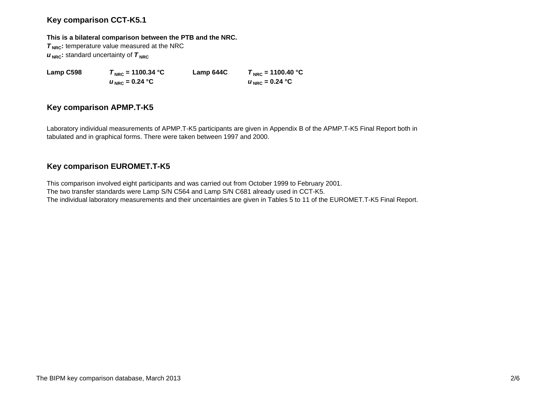# **Key comparison CCT-K5.1**

### **This is a bilateral comparison between the PTB and the NRC.**

**T<sub>NRC</sub>**: temperature value measured at the NRC  $u_{\text{NRC}}$ : standard uncertainty of  $\tau_{\text{NRC}}$ 

 $u_{\text{NRC}} = 0.24 \text{ °C}$ 

**Lamp C598** *T***<sub>NRC</sub> = 1100.34 °C Lamp 644C**  $T_{NRC}$  = 1100.40 °C  $U_{NRC} = 0.24 °C$ 

# **Key comparison APMP.T-K5**

Laboratory individual measurements of APMP.T-K5 participants are given in Appendix B of the APMP.T-K5 Final Report both in tabulated and in graphical forms. There were taken between 1997 and 2000.

# **Key comparison EUROMET.T-K5**

This comparison involved eight participants and was carried out from October 1999 to February 2001. The two transfer standards were Lamp S/N C564 and Lamp S/N C681 already used in CCT-K5. The individual laboratory measurements and their uncertainties are given in Tables 5 to 11 of the EUROMET.T-K5 Final Report.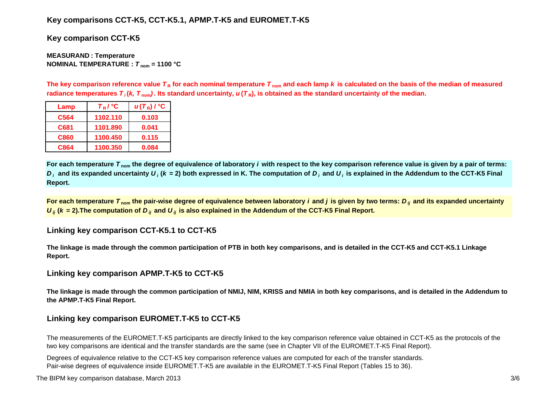# **Key comparisons CCT-K5, CCT-K5.1, APMP.T-K5 and EUROMET.T-K5**

**Key comparison CCT-K5**

**MEASURAN D : Temperature NOMINAL TEMPERATURE :**  *T* **nom = 1100 °C**

The key comparison reference value  $\bm{\tau}_{\mathsf{R}}$  for each nominal temperature  $\bm{\tau}_{\mathsf{nom}}$  and each lamp  $\bm{k}$  is calculated on the basis of the median of measured radiance temperatures  $\bm{\tau}_i$ (*k, T*  $_{\rm nom}$ ). Its standard uncertainty,  $\bm{u}(\bm{\tau}_{{\sf R}})$ , is obtained as the standard uncertainty of the median.

| Lamp | $T_R$ / $\degree$ C | $u(T_R)$ / $^{\circ}$ C |
|------|---------------------|-------------------------|
| C564 | 1102.110            | 0.103                   |
| C681 | 1101.890            | 0.041                   |
| C860 | 1100.450            | 0.115                   |
| C864 | 1100.350            | 0.084                   |

**For each temperature**  *T* **nom the degree of equivalence of laboratory** *i* **with respect to the key comparison reference value is given by a pair of terms:**   $D_i$  and its expanded uncertainty  $U_i$  (k = 2) both expressed in K. The computation of  $D_i$  and  $U_i$  is explained in the Addendum to the CCT-K5 Final **Report.**

**For each temperature**  *T* **nom the pair-wise degree of equivalence between laboratory** *i* **and** *j* **is given by two terms:***<sup>D</sup> ij* **and its expanded uncertainty**   $U_{ij}$  ( $k$  = 2).The computation of  $D_{ij}$  and  $U_{ij}$  is also explained in the Addendum of the CCT-K5 Final Report.

# **Linking key comparison CCT-K5.1 to CCT-K5**

**The linkage is made through the common participation of PTB in both key comparisons, and is detailed in the CCT-K5 and CCT-K5.1 Linkage Report.**

## **Linking key comparison APMP.T-K5 to CCT-K5**

**The linkage is made through the common participation of NMIJ, NIM, KRISS and NMIA in both key comparisons, and is detailed in the Addendum to the APMP.T-K5 Final Report.**

# **Linking key comparison EUROMET.T-K5 to CCT-K5**

The measurements of the EUROMET.T-K5 participants are directly linked to the key comparison reference value obtained in CCT-K5 as the protocols of the two key comparisons are identical and the transfer standards are the same (see in Chapter VII of the EUROMET.T-K5 Final Report).

Degrees of equivalence relative to the CCT-K5 key comparison reference values are computed for each of the transfer standards. Pair-wise degrees of equivalence inside EUROMET.T-K5 are available in the EUROMET.T-K5 Final Report (Tables 15 to 36).

The BIPM key comparison database, March 2013 3/6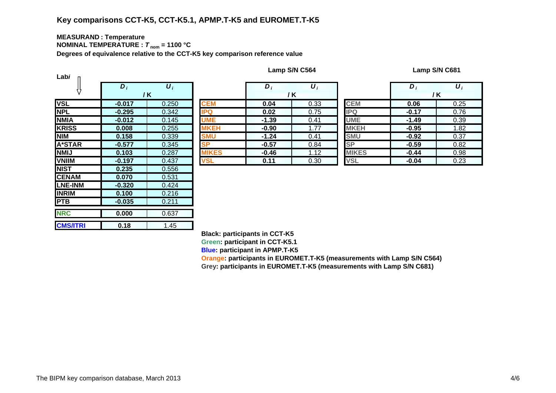# **Key comparisons CCT-K5, CCT-K5.1, APMP.T-K5 and EUROMET.T-K5**

### **MEASURAN D : Temperature NOMINAL TEMPERATURE :**  *T* **nom = 1100 °C**

**Degrees of equivalence relative to the CCT-K5 key comparison reference value**

| Labi            |                  |                       |              |
|-----------------|------------------|-----------------------|--------------|
|                 | $\overline{D}_I$ | $\overline{\bm{U}_i}$ |              |
|                 |                  | / K                   |              |
| <b>VSL</b>      | $-0.017$         | 0.250                 | <b>CEM</b>   |
| <b>NPL</b>      | $-0.295$         | 0.342                 | IPQ          |
| <b>NMIA</b>     | $-0.012$         | 0.145                 | UME          |
| <b>KRISS</b>    | 0.008            | 0.255                 | <b>MKEH</b>  |
| <b>NIM</b>      | 0.158            | 0.339                 | <b>SMU</b>   |
| <b>A*STAR</b>   | $-0.577$         | 0.345                 | <b>SP</b>    |
| <b>NMIJ</b>     | 0.103            | 0.287                 | <b>IIKES</b> |
| <b>VNIIM</b>    | $-0.197$         | 0.437                 | <b>VSL</b>   |
| <b>NIST</b>     | 0.235            | 0.556                 |              |
| <b>CENAM</b>    | 0.070            | 0.531                 |              |
| <b>LNE-INM</b>  | $-0.320$         | 0.424                 |              |
| <b>INRIM</b>    | 0.100            | 0.216                 |              |
| <b>PTB</b>      | $-0.035$         | 0.211                 |              |
| <b>NRC</b>      | 0.000            | 0.637                 |              |
| <b>CMS/ITRI</b> | 0.18             | 1.45                  |              |

**Lamp S/N C564 Lamp S/N C681**

|                                          | $D_i$    | $\boldsymbol{U}_i$ |              | $\bm{D}_i$ | $\boldsymbol{U}_i$ |              | $\bm{D}$ | $\boldsymbol{U}_i$ |
|------------------------------------------|----------|--------------------|--------------|------------|--------------------|--------------|----------|--------------------|
|                                          | / K      |                    |              | /K         |                    |              | /K       |                    |
|                                          | $-0.017$ | 0.250              | <b>CEM</b>   | 0.04       | 0.33               | <b>CEM</b>   | 0.06     | 0.25               |
|                                          | $-0.295$ | 0.342              | <b>IPQ</b>   | 0.02       | 0.75               | <b>IPQ</b>   | $-0.17$  | 0.76               |
| А                                        | $-0.012$ | 0.145              | <b>UME</b>   | $-1.39$    | 0.41               | <b>UME</b>   | $-1.49$  | 0.39               |
| $\overline{\text{s}}\overline{\text{s}}$ | 0.008    | 0.255              | <b>MKEH</b>  | $-0.90$    | 1.77               | <b>MKEH</b>  | $-0.95$  | 1.82               |
|                                          | 0.158    | 0.339              | <b>SMU</b>   | $-1.24$    | 0.41               | <b>SMU</b>   | $-0.92$  | 0.37               |
| TAR                                      | $-0.577$ | 0.345              | <b>SP</b>    | $-0.57$    | 0.84               | <b>SP</b>    | $-0.59$  | 0.82               |
|                                          | 0.103    | 0.287              | <b>MIKES</b> | $-0.46$    | 1.12               | <b>MIKES</b> | $-0.44$  | 0.98               |
| M                                        | $-0.197$ | 0.437              | <b>VSL</b>   | 0.11       | 0.30               | <b>VSL</b>   | $-0.04$  | 0.23               |
|                                          | ----     | $\sim$ $ \sim$     |              |            |                    |              |          |                    |

|    | D,      | U,   |              | D       | $\boldsymbol{U}_i$ |
|----|---------|------|--------------|---------|--------------------|
|    |         | / K  |              |         | / K                |
|    | 0.04    | 0.33 | <b>CEM</b>   | 0.06    | 0.25               |
|    | 0.02    | 0.75 | <b>IPQ</b>   | $-0.17$ | 0.76               |
|    | $-1.39$ | 0.41 | <b>UME</b>   | $-1.49$ | 0.39               |
| Н  | $-0.90$ | 1.77 | <b>MKEH</b>  | $-0.95$ | 1.82               |
|    | $-1.24$ | 0.41 | <b>SMU</b>   | $-0.92$ | 0.37               |
|    | $-0.57$ | 0.84 | <b>SP</b>    | $-0.59$ | 0.82               |
| ΞŚ | $-0.46$ | 1.12 | <b>MIKES</b> | $-0.44$ | 0.98               |
|    | 0.11    | 0.30 | <b>VSL</b>   | $-0.04$ | 0.23               |

**Black: participants in CCT-K5**

**Green: participant in CCT-K5.1**

**Blue: participant in APMP.T-K5**

**Oran g e: participants in EUROMET.T-K5 (measurements with Lamp S/N C564) Gre y: participants in EUROMET.T-K5 (measurements with Lamp S/N C681)**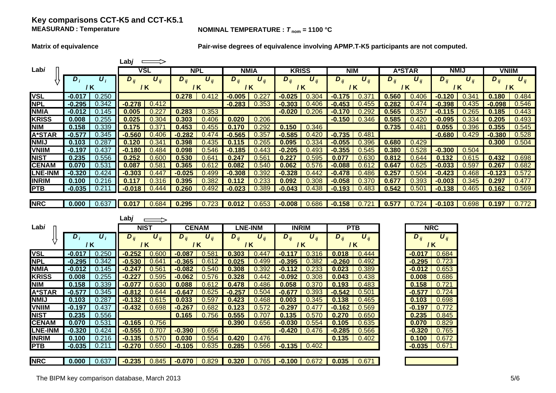## **Key comparisons CCT-K5 and CCT-K5.1 MEASURAND**

**Lab***j*

## **NOMINAL TEMPERATURE :**  $T_{\text{nom}} = 1100 \text{ °C}$

**Matrix of equivalence Pair-wise degrees of equivalence involving APMP.T-K5 participants are not computed.**

|                |                   |                    | Lab <i>j</i> | $\implies$              |                     |                       |                |                       |              |                       |                  |                       |          |                       |                       |                       |              |                       |
|----------------|-------------------|--------------------|--------------|-------------------------|---------------------|-----------------------|----------------|-----------------------|--------------|-----------------------|------------------|-----------------------|----------|-----------------------|-----------------------|-----------------------|--------------|-----------------------|
| Labi           |                   |                    |              | VSL                     |                     | <b>NPL</b>            |                | <b>NMIA</b>           | <b>KRISS</b> |                       | <b>NIM</b>       |                       |          | <b>A*STAR</b>         | <b>NMIJ</b>           |                       | <b>VNIIM</b> |                       |
|                | $D_i$             | $\boldsymbol{U}_i$ | $D_{ij}$     | $\boldsymbol{U}_{ij}$   | $\overline{D}_{ij}$ | $U_{ii}$              | $D_{ij}$       | $\boldsymbol{U}_{ii}$ | $D_{ij}$     | $\boldsymbol{U}_{ii}$ | $D_{ii}$         | $\boldsymbol{U}_{ij}$ | $D_{ii}$ | $\boldsymbol{U}_{ii}$ | $D_{ij}$              | $\boldsymbol{U}_{ii}$ | $D_{ij}$     | $\boldsymbol{U}_{ii}$ |
|                | / K               |                    |              | 7 K                     |                     | / K<br>/ K            |                |                       | / K          | / K                   |                  |                       | 7 K      | / K                   |                       | / K                   |              |                       |
| <b>VSL</b>     | $-0.017$          | 0.250              |              |                         | 0.278               | 0.412                 | $-0.005$       | 0.227                 | $-0.025$     | 0.304                 | $-0.175$         | 0.371                 | 0.560    | 0.406                 | $-0.120$              | 0.341                 | 0.180        | 0.484                 |
| <b>NPL</b>     | $-0.295$          | 0.342              | $-0.278$     | 0.412                   |                     |                       | $-0.283$       | 0.353                 | $-0.303$     | 0.406                 | $-0.453$         | 0.455                 | 0.282    | 0.474                 | $-0.398$              | 0.435                 | $-0.098$     | 0.546                 |
| <b>NMIA</b>    | $-0.012$          | 0.145              | 0.005        | 0.227                   | 0.283               | 0.353                 |                |                       | $-0.020$     | 0.206                 | $-0.170$         | 0.292                 | 0.565    | 0.357                 | $-0.115$              | 0.265                 | 0.185        | 0.443                 |
| <b>KRISS</b>   | 0.008             | 0.255              | 0.025        | 0.304                   | 0.303               | 0.406                 | 0.020          | 0.206                 |              |                       | $-0.150$         | 0.346                 | 0.585    | 0.420                 | $-0.095$              | 0.334                 | 0.205        | 0.493                 |
| <b>NIM</b>     | 0.158             | 0.339              | 0.175        | 0.37'                   | 0.453               | 0.455                 | 0.170          | 0.292                 | 0.150        | 0.346                 |                  |                       | 0.735    | 0.481                 | 0.055                 | 0.396                 | 0.355        | 0.545                 |
| <b>A*STAR</b>  | $-0.577$          | 0.345              | $-0.560$     | 0.406                   | $-0.282$            | 0.474                 | $-0.565$       | 0.357                 | $-0.585$     | 0.420                 | $-0.735$         | 0.481                 |          |                       | $-0.680$              | 0.429                 | $-0.380$     | 0.528                 |
| <b>NMIJ</b>    | 0.103             | 0.287              | 0.120        | 0.341                   | 0.398               | 0.435                 | 0.115          | 0.265                 | 0.095        | 0.334                 | $-0.055$         | 0.396                 | 0.680    | 0.429                 |                       |                       | 0.300        | 0.504                 |
| <b>VNIIM</b>   | $-0.197$          | 0.437              | $-0.180$     | 0.484                   | 0.098               | 0.546                 | $-0.185$       | 0.443                 | $-0.205$     | 0.493                 | $-0.355$         | 0.545                 | 0.380    | 0.528                 | $-0.300$              | 0.504                 |              |                       |
| <b>NIST</b>    | 0.235             | 0.556              | 0.252        | 0.600                   | 0.530               | 0.641                 | 0.247          | 0.561                 | 0.227        | 0.595                 | 0.077            | 0.630                 | 0.812    | 0.644                 | 0.132                 | 0.615                 | 0.432        | 0.698                 |
| <b>CENAM</b>   | 0.070             | 0.531              | 0.087        | 0.581                   | 0.365               | 0.612                 | 0.082          | 0.540                 | 0.062        | 0.576                 | $-0.088$         | 0.612                 | 0.647    | 0.625                 | $-0.033$              | 0.597                 | 0.267        | 0.682                 |
| <b>LNE-INM</b> | $-0.320$          | 0.424              | $-0.303$     | 0.447                   | $-0.025$            | 0.499                 | $-0.308$       | 0.392                 | $-0.328$     | 0.442                 | $-0.478$         | 0.486                 | 0.257    | 0.504                 | $-0.423$              | 0.468                 | $-0.123$     | 0.572                 |
| <b>INRIM</b>   | 0.100             | 0.216              | 0.117        | 0.316                   | 0.395               | 0.382                 | 0.112          | 0.233                 | 0.092        | 0.308                 | $-0.058$         | 0.370                 | 0.677    | 0.393                 | $-0.003$              | 0.345                 | 0.297        | 0.477                 |
| <b>PTB</b>     | $-0.035$          | 0.211              | $-0.018$     | 0.444                   | 0.260               | 0.492                 | $-0.023$       | 0.389                 | $-0.043$     | 0.438                 | $-0.193$         | 0.483                 | 0.542    | 0.501                 | $-0.138$              | 0.465                 | 0.162        | 0.569                 |
|                |                   |                    |              |                         |                     |                       |                |                       |              |                       |                  |                       |          |                       |                       |                       |              |                       |
| <b>NRC</b>     | 0.000             | 0.637              | 0.017        | 0.684                   | 0.295               | 0.723                 | 0.012          | 0.653                 | $-0.008$     | 0.686                 | $-0.158$ $0.721$ |                       | 0.577    | 0.724                 | $-0.103$              | 0.698                 | 0.197        | 0.772                 |
|                |                   |                    | Labj         | $\Rightarrow$           |                     |                       |                |                       |              |                       |                  |                       |          |                       |                       |                       |              |                       |
| Labi           |                   |                    |              | <b>NIST</b>             | <b>CENAM</b>        |                       | <b>LNE-INM</b> |                       | <b>INRIM</b> |                       | <b>PTB</b>       |                       |          |                       | <b>NRC</b>            |                       |              |                       |
|                | $D_i$             | $\boldsymbol{U}_i$ | $D_{ij}$     | $\boldsymbol{U}_{ij}$   | $D_{ij}$            | $\boldsymbol{U}_{ij}$ | $D_{ij}$       | $\boldsymbol{U}_{ij}$ | $D_{ij}$     | $\boldsymbol{U}_{ij}$ | $D_{ij}$         | $\boldsymbol{U}_{ij}$ |          | $D_{ij}$              | $\boldsymbol{U}_{ij}$ |                       |              |                       |
|                | / K               |                    |              | / K                     | $/$ K               |                       |                | $/$ K                 | $/$ K        |                       | $/$ K            |                       |          |                       | /K                    |                       |              |                       |
| <b>VSL</b>     | $-0.017$          | 0.250              | $-0.252$     | 0.600                   | $-0.087$            | 0.581                 | 0.303          | 0.447                 | $-0.117$     | 0.316                 | 0.018            | 0.444                 |          | $-0.017$ $\parallel$  | 0.684                 |                       |              |                       |
| <b>NPL</b>     | $-0.295$          | 0.342              | $-0.530$     | 0.641                   | $-0.365$            | 0.612                 | 0.025          | 0.499                 | $-0.395$     | 0.382                 | $-0.260$         | 0.492                 |          |                       | $-0.295$ 0.723        |                       |              |                       |
| <b>NMIA</b>    | $-0.012$          | 0.145              | $-0.247$     | 0.561                   | $-0.082$            | 0.540                 | 0.308          | 0.392                 | $-0.112$     | 0.233                 | 0.023            | 0.389                 |          | $-0.012$              | 0.653                 |                       |              |                       |
| <b>KRISS</b>   | 0.008             | 0.255              | $-0.227$     | 0.595                   | $-0.062$            | 0.576                 | 0.328          | 0.442                 | $-0.092$     | 0.308                 | 0.043            | 0.438                 |          | 0.008                 | 0.686                 |                       |              |                       |
| <b>NIM</b>     | 0.158             | 0.339              | $-0.077$     | 0.630                   | 0.088               | 0.612                 | 0.478          | 0.486                 | 0.058        | 0.370                 | 0.193            | 0.483                 |          | 0.158                 | 0.721                 |                       |              |                       |
| <b>A*STAR</b>  | $-0.577$          | 0.345              | $-0.812$     | 0.644                   | $-0.647$            | 0.625                 | $-0.257$       | 0.504                 | $-0.677$     | 0.393                 | $-0.542$         | 0.501                 |          | $-0.577$              | 0.724                 |                       |              |                       |
| <b>NMIJ</b>    | 0.103             | 0.287              | $-0.132$     | 0.615                   | 0.033               | 0.597                 | 0.423          | 0.468                 | 0.003        | 0.345                 | 0.138            | 0.465                 |          | 0.103                 | 0.698                 |                       |              |                       |
| <b>VNIIM</b>   | $-0.197$          | 0.437              | $-0.432$     | 0.698                   | $-0.267$            | 0.682                 | 0.123          | 0.572                 | $-0.297$     | 0.477                 | $-0.162$         | 0.569                 |          | $-0.197$              | 0.772                 |                       |              |                       |
| <b>NIST</b>    | 0.235             | 0.556              |              |                         | 0.165               | 0.756                 | 0.555          | 0.707                 | 0.135        | 0.570                 | 0.270            | 0.650                 |          | 0.235                 | 0.845                 |                       |              |                       |
| <b>CENAM</b>   | 0.070             | 0.531              | $-0.165$     | 0.756                   |                     |                       | 0.390          | 0.656                 | $-0.030$     | 0.554                 | 0.105            | 0.635                 |          | 0.070                 | 0.829                 |                       |              |                       |
| <b>LNE-INM</b> | $-0.320$          | 0.424              | $-0.555$     | 0.707                   | $-0.390$            | 0.656                 |                |                       | $-0.420$     | 0.476                 | $-0.285$         | 0.566                 |          | $-0.320$              | 0.765                 |                       |              |                       |
| <b>INRIM</b>   |                   |                    |              |                         |                     |                       |                |                       |              |                       |                  |                       |          |                       |                       |                       |              |                       |
| <b>PTB</b>     | 0.100<br>$-0.035$ | 0.216<br>0.211     | $-0.135$     | 0.570<br>$-0.270$ 0.650 | 0.030<br>$-0.105$   | 0.554<br>0.635        | 0.420          | 0.476                 |              |                       | 0.135            | 0.402                 |          | 0.100<br>$-0.035$     | 0.672<br>0.671        |                       |              |                       |

**NRC 0.000** 0.637 0.637 **-0.235** 0.845 **-0.070** 0.829 **0.320** 0.765 **-0.100** 0.672 **0.035** 0.671